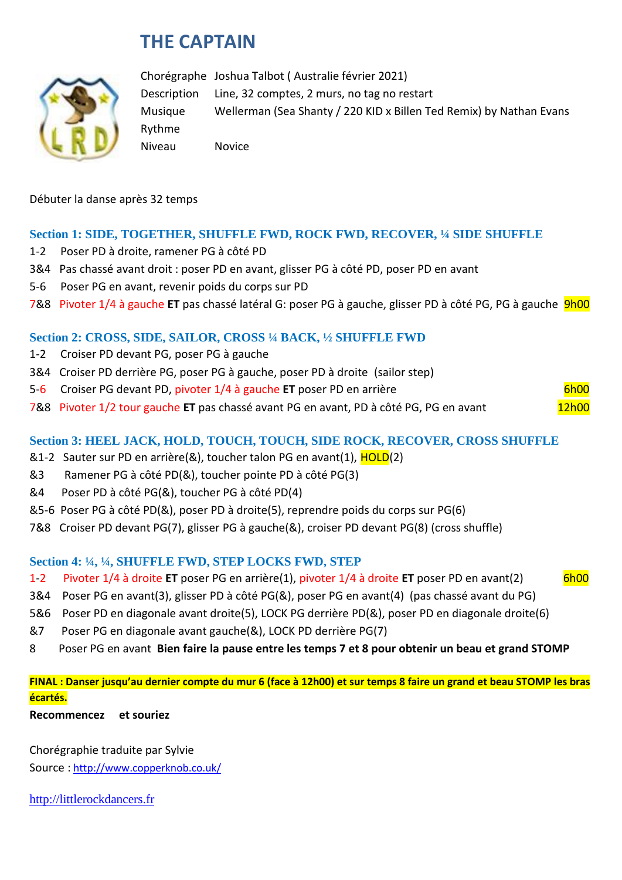# **THE CAPTAIN**



Chorégraphe Joshua Talbot ( Australie février 2021) Description Line, 32 comptes, 2 murs, no tag no restart Musique Wellerman (Sea Shanty / 220 KID x Billen Ted Remix) by Nathan Evans Rythme Niveau Novice

Débuter la danse après 32 temps

#### **Section 1: SIDE, TOGETHER, SHUFFLE FWD, ROCK FWD, RECOVER, ¼ SIDE SHUFFLE**

- 1-2 Poser PD à droite, ramener PG à côté PD
- 3&4 Pas chassé avant droit : poser PD en avant, glisser PG à côté PD, poser PD en avant
- 5-6 Poser PG en avant, revenir poids du corps sur PD
- 7&8 Pivoter 1/4 à gauche **ET** pas chassé latéral G: poser PG à gauche, glisser PD à côté PG, PG à gauche 9h00

#### **Section 2: CROSS, SIDE, SAILOR, CROSS ¼ BACK, ½ SHUFFLE FWD**

- 1-2 Croiser PD devant PG, poser PG à gauche
- 3&4 Croiser PD derrière PG, poser PG à gauche, poser PD à droite (sailor step)
- 5-6 Croiser PG devant PD, pivoter 1/4 à gauche **ET** poser PD en arrière 6h00
- 7&8 Pivoter 1/2 tour gauche ET pas chassé avant PG en avant, PD à côté PG, PG en avant 12h00

#### **Section 3: HEEL JACK, HOLD, TOUCH, TOUCH, SIDE ROCK, RECOVER, CROSS SHUFFLE**

- &1-2 Sauter sur PD en arrière(&), toucher talon PG en avant(1), **HOLD(2)**
- &3 Ramener PG à côté PD(&), toucher pointe PD à côté PG(3)
- &4 Poser PD à côté PG(&), toucher PG à côté PD(4)
- &5-6 Poser PG à côté PD(&), poser PD à droite(5), reprendre poids du corps sur PG(6)
- 7&8 Croiser PD devant PG(7), glisser PG à gauche(&), croiser PD devant PG(8) (cross shuffle)

#### **Section 4: ¼, ¼, SHUFFLE FWD, STEP LOCKS FWD, STEP**

- 1-2 Pivoter 1/4 à droite **ET** poser PG en arrière(1), pivoter 1/4 à droite **ET** poser PD en avant(2) 6h00
- 3&4 Poser PG en avant(3), glisser PD à côté PG(&), poser PG en avant(4) (pas chassé avant du PG)
- 5&6 Poser PD en diagonale avant droite(5), LOCK PG derrière PD(&), poser PD en diagonale droite(6)
- &7 Poser PG en diagonale avant gauche(&), LOCK PD derrière PG(7)
- 8 Poser PG en avant **Bien faire la pause entre les temps 7 et 8 pour obtenir un beau et grand STOMP**

**FINAL : Danser jusqu'au dernier compte du mur 6 (face à 12h00) et sur temps 8 faire un grand et beau STOMP les bras écartés.**

**Recommencez et souriez**

Chorégraphie traduite par Sylvie Source : [http://www.copperknob.co.uk/](https://www.copperknob.co.uk/) 

[http://littlerockdancers.fr](http://littlerockdancers.fr/)